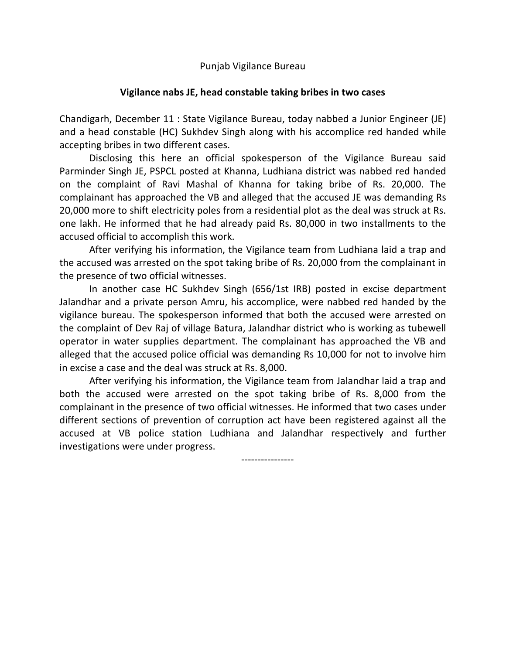Punjab Vigilance Bureau

## **Vigilance nabs JE, head constable taking bribes in two cases**

Chandigarh, December 11 : State Vigilance Bureau, today nabbed a Junior Engineer (JE) and a head constable (HC) Sukhdev Singh along with his accomplice red handed while accepting bribes in two different cases.

Disclosing this here an official spokesperson of the Vigilance Bureau said Parminder Singh JE, PSPCL posted at Khanna, Ludhiana district was nabbed red handed on the complaint of Ravi Mashal of Khanna for taking bribe of Rs. 20,000. The complainant has approached the VB and alleged that the accused JE was demanding Rs 20,000 more to shift electricity poles from a residential plot as the deal was struck at Rs. one lakh. He informed that he had already paid Rs. 80,000 in two installments to the accused official to accomplish this work.

After verifying his information, the Vigilance team from Ludhiana laid a trap and the accused was arrested on the spot taking bribe of Rs. 20,000 from the complainant in the presence of two official witnesses.

In another case HC Sukhdev Singh (656/1st IRB) posted in excise department Jalandhar and a private person Amru, his accomplice, were nabbed red handed by the vigilance bureau. The spokesperson informed that both the accused were arrested on the complaint of Dev Raj of village Batura, Jalandhar district who is working as tubewell operator in water supplies department. The complainant has approached the VB and alleged that the accused police official was demanding Rs 10,000 for not to involve him in excise a case and the deal was struck at Rs. 8,000.

After verifying his information, the Vigilance team from Jalandhar laid a trap and both the accused were arrested on the spot taking bribe of Rs. 8,000 from the complainant in the presence of two official witnesses. He informed that two cases under different sections of prevention of corruption act have been registered against all the accused at VB police station Ludhiana and Jalandhar respectively and further investigations were under progress.

----------------